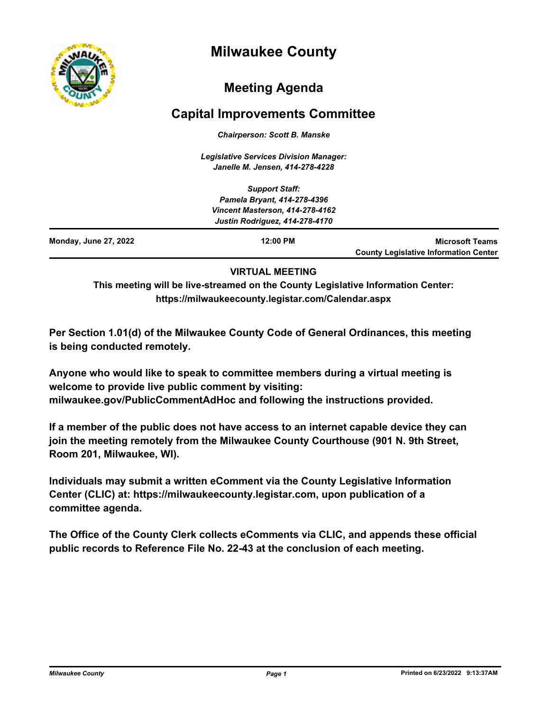

# **Milwaukee County**

## **Meeting Agenda**

## **Capital Improvements Committee**

*Chairperson: Scott B. Manske*

*Legislative Services Division Manager: Janelle M. Jensen, 414-278-4228*

|                              | <b>Support Staff:</b><br>Pamela Bryant, 414-278-4396                     |                                                                        |
|------------------------------|--------------------------------------------------------------------------|------------------------------------------------------------------------|
|                              | Vincent Masterson, 414-278-4162<br><b>Justin Rodriguez, 414-278-4170</b> |                                                                        |
| <b>Monday, June 27, 2022</b> | $12:00$ PM                                                               | <b>Microsoft Teams</b><br><b>County Legislative Information Center</b> |

### **VIRTUAL MEETING**

**This meeting will be live-streamed on the County Legislative Information Center: https://milwaukeecounty.legistar.com/Calendar.aspx**

**Per Section 1.01(d) of the Milwaukee County Code of General Ordinances, this meeting is being conducted remotely.**

**Anyone who would like to speak to committee members during a virtual meeting is welcome to provide live public comment by visiting: milwaukee.gov/PublicCommentAdHoc and following the instructions provided.**

**If a member of the public does not have access to an internet capable device they can join the meeting remotely from the Milwaukee County Courthouse (901 N. 9th Street, Room 201, Milwaukee, WI).**

**Individuals may submit a written eComment via the County Legislative Information Center (CLIC) at: https://milwaukeecounty.legistar.com, upon publication of a committee agenda.**

**The Office of the County Clerk collects eComments via CLIC, and appends these official public records to Reference File No. 22-43 at the conclusion of each meeting.**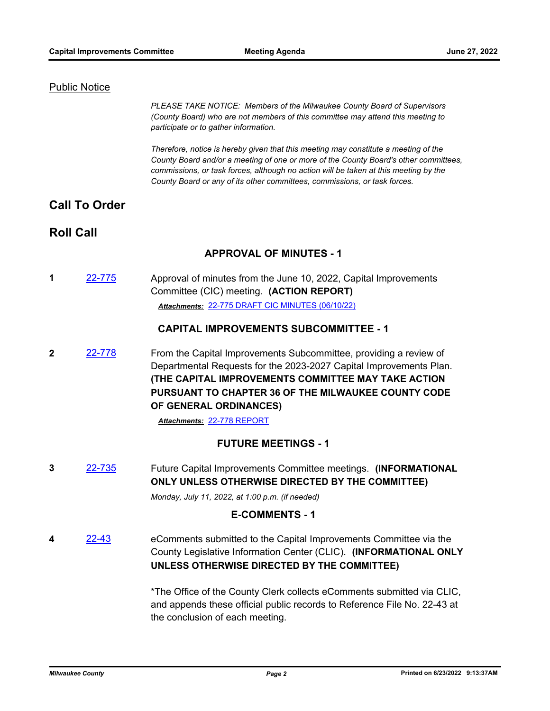#### **Public Notice**

*PLEASE TAKE NOTICE: Members of the Milwaukee County Board of Supervisors (County Board) who are not members of this committee may attend this meeting to participate or to gather information.*

*Therefore, notice is hereby given that this meeting may constitute a meeting of the County Board and/or a meeting of one or more of the County Board's other committees, commissions, or task forces, although no action will be taken at this meeting by the County Board or any of its other committees, commissions, or task forces.*

### **Call To Order**

### **Roll Call**

#### **APPROVAL OF MINUTES - 1**

**1** [22-775](http://milwaukeecounty.legistar.com/gateway.aspx?m=l&id=/matter.aspx?key=12485) Approval of minutes from the June 10, 2022, Capital Improvements Committee (CIC) meeting. **(ACTION REPORT)** *Attachments:* [22-775 DRAFT CIC MINUTES \(06/10/22\)](http://MilwaukeeCounty.legistar.com/gateway.aspx?M=F&ID=a6d6e133-b60d-4215-8b66-e5091c9f72f0.pdf)

#### **CAPITAL IMPROVEMENTS SUBCOMMITTEE - 1**

**2** [22-778](http://milwaukeecounty.legistar.com/gateway.aspx?m=l&id=/matter.aspx?key=12488) From the Capital Improvements Subcommittee, providing a review of Departmental Requests for the 2023-2027 Capital Improvements Plan. **(THE CAPITAL IMPROVEMENTS COMMITTEE MAY TAKE ACTION PURSUANT TO CHAPTER 36 OF THE MILWAUKEE COUNTY CODE OF GENERAL ORDINANCES)**

*Attachments:* [22-778 REPORT](http://MilwaukeeCounty.legistar.com/gateway.aspx?M=F&ID=63418ed0-f9a0-462b-828d-770376d8e047.pdf)

#### **FUTURE MEETINGS - 1**

**3** [22-735](http://milwaukeecounty.legistar.com/gateway.aspx?m=l&id=/matter.aspx?key=12436) Future Capital Improvements Committee meetings. **(INFORMATIONAL ONLY UNLESS OTHERWISE DIRECTED BY THE COMMITTEE)**

*Monday, July 11, 2022, at 1:00 p.m. (if needed)*

#### **E-COMMENTS - 1**

**4** [22-43](http://milwaukeecounty.legistar.com/gateway.aspx?m=l&id=/matter.aspx?key=11865) eComments submitted to the Capital Improvements Committee via the County Legislative Information Center (CLIC). **(INFORMATIONAL ONLY UNLESS OTHERWISE DIRECTED BY THE COMMITTEE)**

> \*The Office of the County Clerk collects eComments submitted via CLIC, and appends these official public records to Reference File No. 22-43 at the conclusion of each meeting.